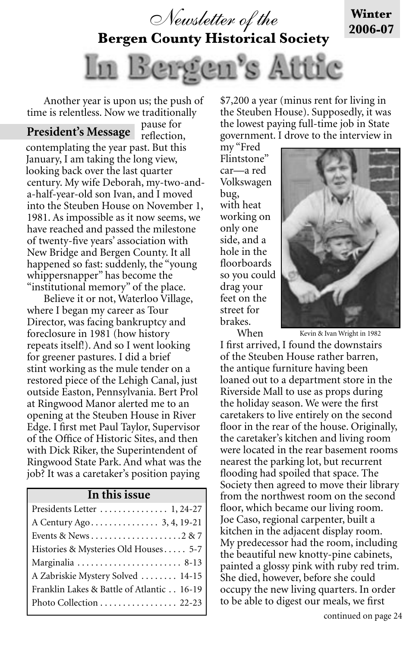

**Bergen County Historical Society**



Another year is upon us; the push of time is relentless. Now we traditionally

pause for reflection, contemplating the year past. But this January, I am taking the long view, looking back over the last quarter century. My wife Deborah, my-two-anda-half-year-old son Ivan, and I moved into the Steuben House on November 1, 1981. As impossible as it now seems, we have reached and passed the milestone of twenty-five years' association with New Bridge and Bergen County. It all happened so fast: suddenly, the "young whippersnapper" has become the "institutional memory" of the place. **President's Message**

Believe it or not, Waterloo Village, where I began my career as Tour Director, was facing bankruptcy and foreclosure in 1981 (how history repeats itself!). And so I went looking for greener pastures. I did a brief stint working as the mule tender on a restored piece of the Lehigh Canal, just outside Easton, Pennsylvania. Bert Prol at Ringwood Manor alerted me to an opening at the Steuben House in River Edge. I first met Paul Taylor, Supervisor of the Office of Historic Sites, and then with Dick Riker, the Superintendent of Ringwood State Park. And what was the job? It was a caretaker's position paying

#### **In this issue**

| Presidents Letter  1, 24-27               |
|-------------------------------------------|
|                                           |
|                                           |
| Histories & Mysteries Old Houses 5-7      |
| Marginalia  8-13                          |
| A Zabriskie Mystery Solved  14-15         |
| Franklin Lakes & Battle of Atlantic 16-19 |
| Photo Collection 22-23                    |
|                                           |

\$7,200 a year (minus rent for living in the Steuben House). Supposedly, it was the lowest paying full-time job in State government. I drove to the interview in

my "Fred Flintstone" car—a red Volkswagen bug, with heat working on only one side, and a hole in the floorboards so you could drag your feet on the street for brakes. When



**Winter 2006-07**

Kevin & Ivan Wright in 1982

I first arrived, I found the downstairs of the Steuben House rather barren, the antique furniture having been loaned out to a department store in the Riverside Mall to use as props during the holiday season. We were the first caretakers to live entirely on the second floor in the rear of the house. Originally, the caretaker's kitchen and living room were located in the rear basement rooms nearest the parking lot, but recurrent flooding had spoiled that space. The Society then agreed to move their library from the northwest room on the second floor, which became our living room. Joe Caso, regional carpenter, built a kitchen in the adjacent display room. My predecessor had the room, including the beautiful new knotty-pine cabinets, painted a glossy pink with ruby red trim. She died, however, before she could occupy the new living quarters. In order to be able to digest our meals, we first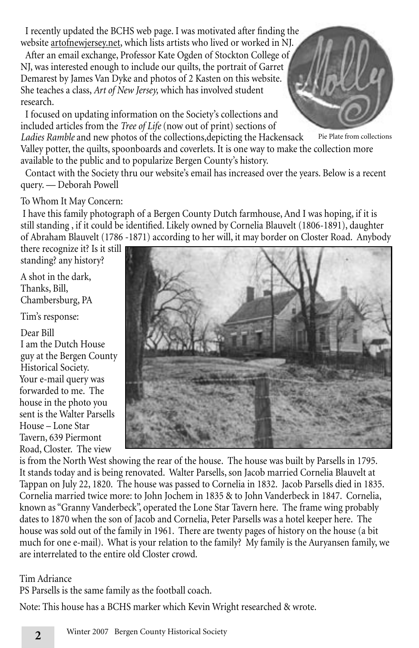I recently updated the BCHS web page. I was motivated after finding the website artofnewjersey.net, which lists artists who lived or worked in NJ.

After an email exchange, Professor Kate Ogden of Stockton College of NJ, was interested enough to include our quilts, the portrait of Garret Demarest by James Van Dyke and photos of 2 Kasten on this website. She teaches a class, *Art of New Jersey,* which has involved student research.

I focused on updating information on the Society's collections and included articles from the *Tree of Life* (now out of print) sections of

*Ladies Ramble* and new photos of the collections,depicting the Hackensack Valley potter, the quilts, spoonboards and coverlets. It is one way to make the collection more available to the public and to popularize Bergen County's history. Pie Plate from collections

Contact with the Society thru our website's email has increased over the years. Below is a recent query. — Deborah Powell

## To Whom It May Concern:

 I have this family photograph of a Bergen County Dutch farmhouse, And I was hoping, if it is still standing , if it could be identified. Likely owned by Cornelia Blauvelt (1806-1891), daughter of Abraham Blauvelt (1786 -1871) according to her will, it may border on Closter Road. Anybody

there recognize it? Is it still standing? any history?

A shot in the dark, Thanks, Bill, Chambersburg, PA

Tim's response:

Dear Bill I am the Dutch House guy at the Bergen County Historical Society. Your e-mail query was forwarded to me. The house in the photo you sent is the Walter Parsells House – Lone Star Tavern, 639 Piermont Road, Closter. The view



is from the North West showing the rear of the house. The house was built by Parsells in 1795. It stands today and is being renovated. Walter Parsells, son Jacob married Cornelia Blauvelt at Tappan on July 22, 1820. The house was passed to Cornelia in 1832. Jacob Parsells died in 1835. Cornelia married twice more: to John Jochem in 1835 & to John Vanderbeck in 1847. Cornelia, known as "Granny Vanderbeck", operated the Lone Star Tavern here. The frame wing probably dates to 1870 when the son of Jacob and Cornelia, Peter Parsells was a hotel keeper here. The house was sold out of the family in 1961. There are twenty pages of history on the house (a bit much for one e-mail). What is your relation to the family? My family is the Auryansen family, we are interrelated to the entire old Closter crowd.

## Tim Adriance

PS Parsells is the same family as the football coach.

Note: This house has a BCHS marker which Kevin Wright researched & wrote.

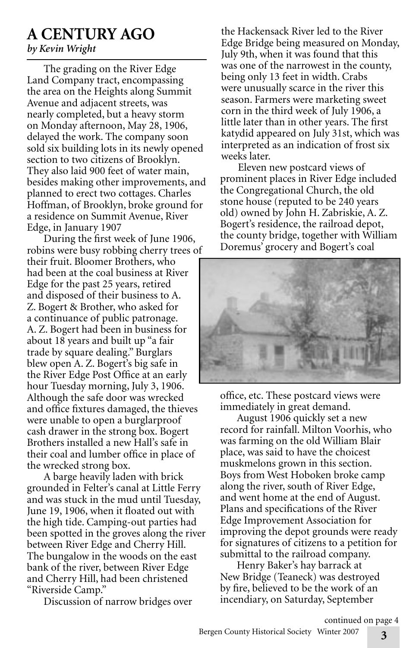# **A CENTURY AGO**

# *by Kevin Wright*

The grading on the River Edge Land Company tract, encompassing the area on the Heights along Summit Avenue and adjacent streets, was nearly completed, but a heavy storm on Monday afternoon, May 28, 1906, delayed the work. The company soon sold six building lots in its newly opened section to two citizens of Brooklyn. They also laid 900 feet of water main, besides making other improvements, and planned to erect two cottages. Charles Hoffman, of Brooklyn, broke ground for a residence on Summit Avenue, River Edge, in January 1907

During the first week of June 1906, robins were busy robbing cherry trees of their fruit. Bloomer Brothers, who had been at the coal business at River Edge for the past 25 years, retired and disposed of their business to A. Z. Bogert & Brother, who asked for a continuance of public patronage. A. Z. Bogert had been in business for about 18 years and built up "a fair trade by square dealing." Burglars blew open A. Z. Bogert's big safe in the River Edge Post Office at an early hour Tuesday morning, July 3, 1906. Although the safe door was wrecked and office fixtures damaged, the thieves were unable to open a burglarproof cash drawer in the strong box. Bogert Brothers installed a new Hall's safe in their coal and lumber office in place of the wrecked strong box.

A barge heavily laden with brick grounded in Felter's canal at Little Ferry and was stuck in the mud until Tuesday, June 19, 1906, when it floated out with the high tide. Camping-out parties had been spotted in the groves along the river between River Edge and Cherry Hill. The bungalow in the woods on the east bank of the river, between River Edge and Cherry Hill, had been christened "Riverside Camp."

Discussion of narrow bridges over

the Hackensack River led to the River Edge Bridge being measured on Monday, July 9th, when it was found that this was one of the narrowest in the county, being only 13 feet in width. Crabs were unusually scarce in the river this season. Farmers were marketing sweet corn in the third week of July 1906, a little later than in other years. The first katydid appeared on July 31st, which was interpreted as an indication of frost six weeks later.

Eleven new postcard views of prominent places in River Edge included the Congregational Church, the old stone house (reputed to be 240 years old) owned by John H. Zabriskie, A. Z. Bogert's residence, the railroad depot, the county bridge, together with William Doremus' grocery and Bogert's coal



office, etc. These postcard views were immediately in great demand.

August 1906 quickly set a new record for rainfall. Milton Voorhis, who was farming on the old William Blair place, was said to have the choicest muskmelons grown in this section. Boys from West Hoboken broke camp along the river, south of River Edge, and went home at the end of August. Plans and specifications of the River Edge Improvement Association for improving the depot grounds were ready for signatures of citizens to a petition for submittal to the railroad company.

Henry Baker's hay barrack at New Bridge (Teaneck) was destroyed by fire, believed to be the work of an incendiary, on Saturday, September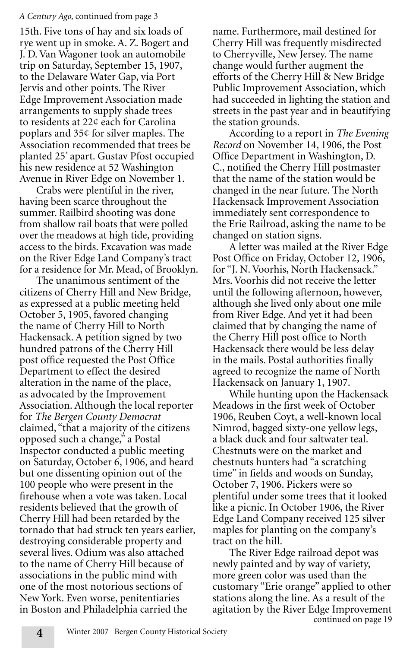#### *A Century Ago,* continued from page 3

15th. Five tons of hay and six loads of rye went up in smoke. A. Z. Bogert and J. D. Van Wagoner took an automobile trip on Saturday, September 15, 1907, to the Delaware Water Gap, via Port Jervis and other points. The River Edge Improvement Association made arrangements to supply shade trees to residents at 22¢ each for Carolina poplars and 35¢ for silver maples. The Association recommended that trees be planted 25' apart. Gustav Pfost occupied his new residence at 52 Washington Avenue in River Edge on November 1.

Crabs were plentiful in the river, having been scarce throughout the summer. Railbird shooting was done from shallow rail boats that were polled over the meadows at high tide, providing access to the birds. Excavation was made on the River Edge Land Company's tract for a residence for Mr. Mead, of Brooklyn.

The unanimous sentiment of the citizens of Cherry Hill and New Bridge, as expressed at a public meeting held October 5, 1905, favored changing the name of Cherry Hill to North Hackensack. A petition signed by two hundred patrons of the Cherry Hill post office requested the Post Office Department to effect the desired alteration in the name of the place, as advocated by the Improvement Association. Although the local reporter for *The Bergen County Democrat*  claimed, "that a majority of the citizens opposed such a change," a Postal Inspector conducted a public meeting on Saturday, October 6, 1906, and heard but one dissenting opinion out of the 100 people who were present in the firehouse when a vote was taken. Local residents believed that the growth of Cherry Hill had been retarded by the tornado that had struck ten years earlier, destroying considerable property and several lives. Odium was also attached to the name of Cherry Hill because of associations in the public mind with one of the most notorious sections of New York. Even worse, penitentiaries in Boston and Philadelphia carried the

name. Furthermore, mail destined for Cherry Hill was frequently misdirected to Cherryville, New Jersey. The name change would further augment the efforts of the Cherry Hill & New Bridge Public Improvement Association, which had succeeded in lighting the station and streets in the past year and in beautifying the station grounds.

According to a report in *The Evening Record* on November 14, 1906, the Post Office Department in Washington, D. C., notified the Cherry Hill postmaster that the name of the station would be changed in the near future. The North Hackensack Improvement Association immediately sent correspondence to the Erie Railroad, asking the name to be changed on station signs.

A letter was mailed at the River Edge Post Office on Friday, October 12, 1906, for "J. N. Voorhis, North Hackensack." Mrs. Voorhis did not receive the letter until the following afternoon, however, although she lived only about one mile from River Edge. And yet it had been claimed that by changing the name of the Cherry Hill post office to North Hackensack there would be less delay in the mails. Postal authorities finally agreed to recognize the name of North Hackensack on January 1, 1907.

While hunting upon the Hackensack Meadows in the first week of October 1906, Reuben Coyt, a well-known local Nimrod, bagged sixty-one yellow legs, a black duck and four saltwater teal. Chestnuts were on the market and chestnuts hunters had "a scratching time" in fields and woods on Sunday, October 7, 1906. Pickers were so plentiful under some trees that it looked like a picnic. In October 1906, the River Edge Land Company received 125 silver maples for planting on the company's tract on the hill.

continued on page 19 The River Edge railroad depot was newly painted and by way of variety, more green color was used than the customary "Erie orange" applied to other stations along the line. As a result of the agitation by the River Edge Improvement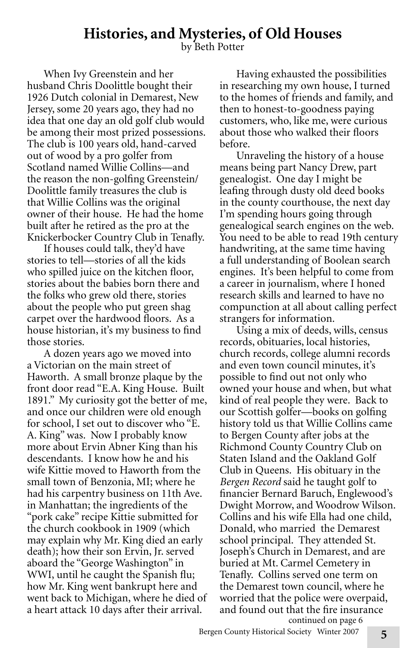# **Histories, and Mysteries, of Old Houses**<br>by Beth Potter

When Ivy Greenstein and her husband Chris Doolittle bought their 1926 Dutch colonial in Demarest, New Jersey, some 20 years ago, they had no idea that one day an old golf club would be among their most prized possessions. The club is 100 years old, hand-carved out of wood by a pro golfer from Scotland named Willie Collins—and the reason the non-golfing Greenstein/ Doolittle family treasures the club is that Willie Collins was the original owner of their house. He had the home built after he retired as the pro at the Knickerbocker Country Club in Tenafly.

If houses could talk, they'd have stories to tell—stories of all the kids who spilled juice on the kitchen floor, stories about the babies born there and the folks who grew old there, stories about the people who put green shag carpet over the hardwood floors. As a house historian, it's my business to find those stories.

A dozen years ago we moved into a Victorian on the main street of Haworth. A small bronze plaque by the front door read "E.A. King House. Built 1891." My curiosity got the better of me, and once our children were old enough for school, I set out to discover who "E. A. King" was. Now I probably know more about Ervin Abner King than his descendants. I know how he and his wife Kittie moved to Haworth from the small town of Benzonia, MI; where he had his carpentry business on 11th Ave. in Manhattan; the ingredients of the "pork cake" recipe Kittie submitted for the church cookbook in 1909 (which may explain why Mr. King died an early death); how their son Ervin, Jr. served aboard the "George Washington" in WWI, until he caught the Spanish flu; how Mr. King went bankrupt here and went back to Michigan, where he died of a heart attack 10 days after their arrival.

Having exhausted the possibilities in researching my own house, I turned to the homes of friends and family, and then to honest-to-goodness paying customers, who, like me, were curious about those who walked their floors before.

Unraveling the history of a house means being part Nancy Drew, part genealogist. One day I might be leafing through dusty old deed books in the county courthouse, the next day I'm spending hours going through genealogical search engines on the web. You need to be able to read 19th century handwriting, at the same time having a full understanding of Boolean search engines. It's been helpful to come from a career in journalism, where I honed research skills and learned to have no compunction at all about calling perfect strangers for information.

Using a mix of deeds, wills, census records, obituaries, local histories, church records, college alumni records and even town council minutes, it's possible to find out not only who owned your house and when, but what kind of real people they were. Back to our Scottish golfer—books on golfing history told us that Willie Collins came to Bergen County after jobs at the Richmond County Country Club on Staten Island and the Oakland Golf Club in Queens. His obituary in the *Bergen Record* said he taught golf to financier Bernard Baruch, Englewood's Dwight Morrow, and Woodrow Wilson. Collins and his wife Ella had one child, Donald, who married the Demarest school principal. They attended St. Joseph's Church in Demarest, and are buried at Mt. Carmel Cemetery in Tenafly. Collins served one term on the Demarest town council, where he worried that the police were overpaid, and found out that the fire insurance continued on page 6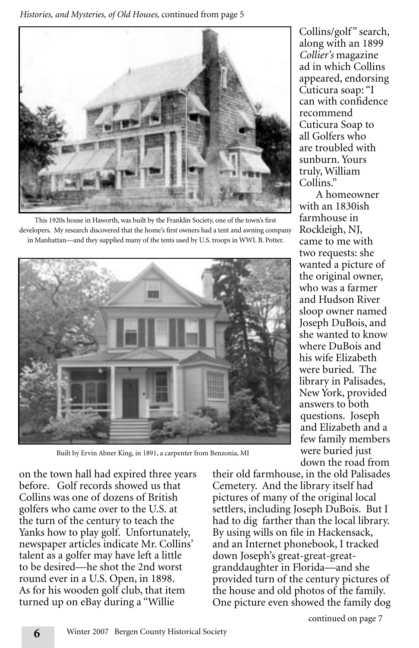*Histories, and Mysteries, of Old Houses,* continued from page 5



This 1920s house in Haworth, was built by the Franklin Society, one of the town's first developers. My research discovered that the home's first owners had a tent and awning company in Manhattan—and they supplied many of the tents used by U.S. troops in WWI. B. Potter.



Built by Ervin Abner King, in 1891, a carpenter from Benzonia, MI

on the town hall had expired three years before. Golf records showed us that Collins was one of dozens of British golfers who came over to the U.S. at the turn of the century to teach the Yanks how to play golf. Unfortunately, newspaper articles indicate Mr. Collins' talent as a golfer may have left a little to be desired—he shot the 2nd worst round ever in a U.S. Open, in 1898. As for his wooden golf club, that item turned up on eBay during a "Willie

Collins/golf" search, along with an 1899 *Collier's* magazine ad in which Collins appeared, endorsing Cuticura soap: "I can with confidence recommend Cuticura Soap to all Golfers who are troubled with sunburn. Yours truly, William Collins."

A homeowner with an 1830ish farmhouse in Rockleigh, NJ, came to me with two requests: she wanted a picture of the original owner, who was a farmer and Hudson River sloop owner named Joseph DuBois, and she wanted to know where DuBois and his wife Elizabeth were buried. The library in Palisades, New York, provided answers to both questions. Joseph and Elizabeth and a few family members were buried just down the road from

their old farmhouse, in the old Palisades Cemetery. And the library itself had pictures of many of the original local settlers, including Joseph DuBois. But I had to dig farther than the local library. By using wills on file in Hackensack, and an Internet phonebook, I tracked down Joseph's great-great-greatgranddaughter in Florida—and she provided turn of the century pictures of the house and old photos of the family. One picture even showed the family dog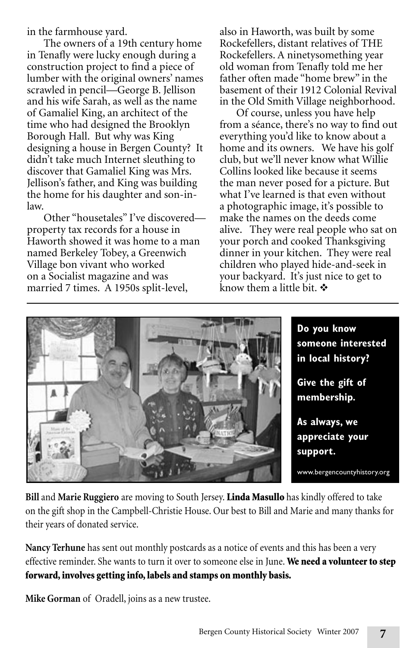in the farmhouse yard.

The owners of a 19th century home in Tenafly were lucky enough during a construction project to find a piece of lumber with the original owners' names scrawled in pencil—George B. Jellison and his wife Sarah, as well as the name of Gamaliel King, an architect of the time who had designed the Brooklyn Borough Hall. But why was King designing a house in Bergen County? It didn't take much Internet sleuthing to discover that Gamaliel King was Mrs. Jellison's father, and King was building the home for his daughter and son-inlaw.

Other "housetales" I've discovered property tax records for a house in Haworth showed it was home to a man named Berkeley Tobey, a Greenwich Village bon vivant who worked on a Socialist magazine and was married 7 times. A 1950s split-level,

also in Haworth, was built by some Rockefellers, distant relatives of THE Rockefellers. A ninetysomething year old woman from Tenafly told me her father often made "home brew" in the basement of their 1912 Colonial Revival in the Old Smith Village neighborhood.

Of course, unless you have help from a séance, there's no way to find out everything you'd like to know about a home and its owners. We have his golf club, but we'll never know what Willie Collins looked like because it seems the man never posed for a picture. But what I've learned is that even without a photographic image, it's possible to make the names on the deeds come alive. They were real people who sat on your porch and cooked Thanksgiving dinner in your kitchen. They were real children who played hide-and-seek in your backyard. It's just nice to get to know them a little bit.  $\mathbf{\hat{v}}$ 



**Bill** and **Marie Ruggiero** are moving to South Jersey. Linda Masullo has kindly offered to take on the gift shop in the Campbell-Christie House. Our best to Bill and Marie and many thanks for their years of donated service.

**Nancy Terhune** has sent out monthly postcards as a notice of events and this has been a very effective reminder. She wants to turn it over to someone else in June. We need a volunteer to step forward, involves getting info, labels and stamps on monthly basis.

**Mike Gorman** of Oradell, joins as a new trustee.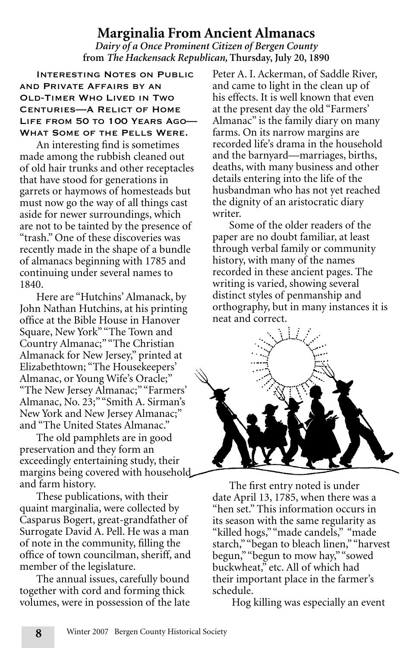# **Marginalia From Ancient Almanacs**

*Dairy of a Once Prominent Citizen of Bergen County* **from** *The Hackensack Republican,* **Thursday, July 20, 1890** 

Interesting Notes on Public and Private Affairs by an Old-Timer Who Lived in Two Centuries—A Relict of Home LIFE FROM 50 TO 100 YEARS AGO-What Some of the Pells Were.

An interesting find is sometimes made among the rubbish cleaned out of old hair trunks and other receptacles that have stood for generations in garrets or haymows of homesteads but must now go the way of all things cast aside for newer surroundings, which are not to be tainted by the presence of "trash." One of these discoveries was recently made in the shape of a bundle of almanacs beginning with 1785 and continuing under several names to 1840.

Here are "Hutchins' Almanack, by John Nathan Hutchins, at his printing office at the Bible House in Hanover Square, New York" "The Town and Country Almanac;" "The Christian Almanack for New Jersey," printed at Elizabethtown; "The Housekeepers' Almanac, or Young Wife's Oracle;" "The New Jersey Almanac;" "Farmers' Almanac, No. 23;" "Smith A. Sirman's New York and New Jersey Almanac;" and "The United States Almanac."

The old pamphlets are in good preservation and they form an exceedingly entertaining study, their margins being covered with household and farm history.

These publications, with their quaint marginalia, were collected by Casparus Bogert, great-grandfather of Surrogate David A. Pell. He was a man of note in the community, filling the office of town councilman, sheriff, and member of the legislature.

The annual issues, carefully bound together with cord and forming thick volumes, were in possession of the late Peter A. I. Ackerman, of Saddle River, and came to light in the clean up of his effects. It is well known that even at the present day the old "Farmers' Almanac" is the family diary on many farms. On its narrow margins are recorded life's drama in the household and the barnyard—marriages, births, deaths, with many business and other details entering into the life of the husbandman who has not yet reached the dignity of an aristocratic diary writer.

Some of the older readers of the paper are no doubt familiar, at least through verbal family or community history, with many of the names recorded in these ancient pages. The writing is varied, showing several distinct styles of penmanship and orthography, but in many instances it is neat and correct.



The first entry noted is under date April 13, 1785, when there was a "hen set." This information occurs in its season with the same regularity as "killed hogs," "made candels," "made starch," "began to bleach linen," "harvest begun," "begun to mow hay," "sowed buckwheat," etc. All of which had their important place in the farmer's schedule.

Hog killing was especially an event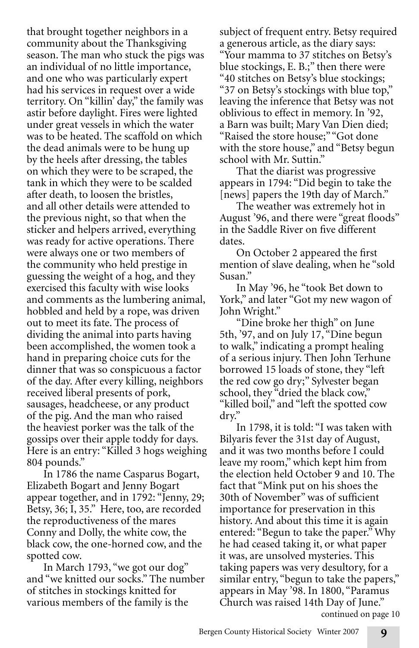that brought together neighbors in a community about the Thanksgiving season. The man who stuck the pigs was an individual of no little importance, and one who was particularly expert had his services in request over a wide territory. On "killin' day," the family was astir before daylight. Fires were lighted under great vessels in which the water was to be heated. The scaffold on which the dead animals were to be hung up by the heels after dressing, the tables on which they were to be scraped, the tank in which they were to be scalded after death, to loosen the bristles, and all other details were attended to the previous night, so that when the sticker and helpers arrived, everything was ready for active operations. There were always one or two members of the community who held prestige in guessing the weight of a hog, and they exercised this faculty with wise looks and comments as the lumbering animal, hobbled and held by a rope, was driven out to meet its fate. The process of dividing the animal into parts having been accomplished, the women took a hand in preparing choice cuts for the dinner that was so conspicuous a factor of the day. After every killing, neighbors received liberal presents of pork, sausages, headcheese, or any product of the pig. And the man who raised the heaviest porker was the talk of the gossips over their apple toddy for days. Here is an entry: "Killed 3 hogs weighing 804 pounds."

In 1786 the name Casparus Bogart, Elizabeth Bogart and Jenny Bogart appear together, and in 1792: "Jenny, 29; Betsy, 36; I, 35." Here, too, are recorded the reproductiveness of the mares Conny and Dolly, the white cow, the black cow, the one-horned cow, and the spotted cow.

In March 1793, "we got our dog" and "we knitted our socks." The number of stitches in stockings knitted for various members of the family is the

subject of frequent entry. Betsy required a generous article, as the diary says: "Your mamma to 37 stitches on Betsy's blue stockings, E. B.;" then there were "40 stitches on Betsy's blue stockings; "37 on Betsy's stockings with blue top," leaving the inference that Betsy was not oblivious to effect in memory. In '92, a Barn was built; Mary Van Dien died; "Raised the store house;" "Got done with the store house," and "Betsy begun school with Mr. Suttin."

That the diarist was progressive appears in 1794: "Did begin to take the [news] papers the 19th day of March."

The weather was extremely hot in August '96, and there were "great floods" in the Saddle River on five different dates.

On October 2 appeared the first mention of slave dealing, when he "sold Susan."

In May '96, he "took Bet down to York," and later "Got my new wagon of John Wright."

"Dine broke her thigh" on June 5th, '97, and on July 17, "Dine begun to walk," indicating a prompt healing of a serious injury. Then John Terhune borrowed 15 loads of stone, they "left the red cow go dry;" Sylvester began school, they "dried the black cow," "killed boil," and "left the spotted cow dry."

In 1798, it is told: "I was taken with Bilyaris fever the 31st day of August, and it was two months before I could leave my room," which kept him from the election held October 9 and 10. The fact that "Mink put on his shoes the 30th of November" was of sufficient importance for preservation in this history. And about this time it is again entered: "Begun to take the paper." Why he had ceased taking it, or what paper it was, are unsolved mysteries. This taking papers was very desultory, for a similar entry, "begun to take the papers," appears in May '98. In 1800, "Paramus Church was raised 14th Day of June." continued on page 10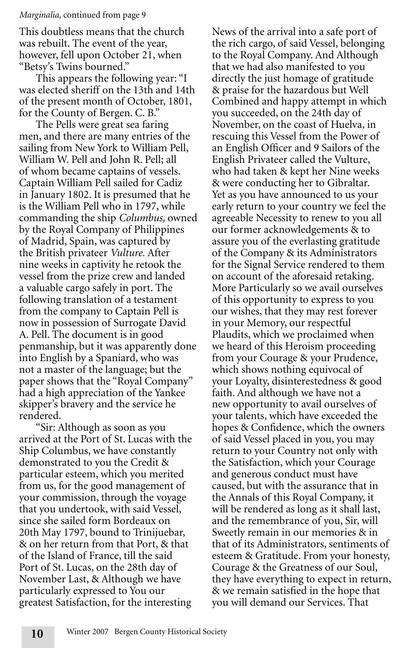#### *Marginalia,* continued from page 9

This doubtless means that the church was rebuilt. The event of the year, however, fell upon October 21, when "Betsy's Twins bourned."

This appears the following year: "I was elected sheriff on the 13th and 14th of the present month of October, 1801, for the County of Bergen. C. B."

The Pells were great sea faring men, and there are many entries of the sailing from New York to William Pell, William W. Pell and John R. Pell; all of whom became captains of vessels. Captain William Pell sailed for Cadiz in January 1802. It is presumed that he is the William Pell who in 1797, while commanding the ship *Columbus,* owned by the Royal Company of Philippines of Madrid, Spain, was captured by the British privateer *Vulture.* After nine weeks in captivity he retook the vessel from the prize crew and landed a valuable cargo safely in port. The following translation of a testament from the company to Captain Pell is now in possession of Surrogate David A. Pell. The document is in good penmanship, but it was apparently done into English by a Spaniard, who was not a master of the language; but the paper shows that the "Royal Company" had a high appreciation of the Yankee skipper's bravery and the service he rendered.

"Sir: Although as soon as you arrived at the Port of St. Lucas with the Ship Columbus, we have constantly demonstrated to you the Credit & particular esteem, which you merited from us, for the good management of your commission, through the voyage that you undertook, with said Vessel, since she sailed form Bordeaux on 20th May 1797, bound to Trinijuebar, & on her return from that Port, & that of the Island of France, till the said Port of St. Lucas, on the 28th day of November Last, & Although we have particularly expressed to You our greatest Satisfaction, for the interesting

News of the arrival into a safe port of the rich cargo, of said Vessel, belonging to the Royal Company. And Although that we had also manifested to you directly the just homage of gratitude & praise for the hazardous but Well Combined and happy attempt in which you succeeded, on the 24th day of November, on the coast of Huelva, in rescuing this Vessel from the Power of an English Officer and 9 Sailors of the English Privateer called the Vulture, who had taken & kept her Nine weeks & were conducting her to Gibraltar. Yet as you have announced to us your early return to your country we feel the agreeable Necessity to renew to you all our former acknowledgements & to assure you of the everlasting gratitude of the Company & its Administrators for the Signal Service rendered to them on account of the aforesaid retaking. More Particularly so we avail ourselves of this opportunity to express to you our wishes, that they may rest forever in your Memory, our respectful Plaudits, which we proclaimed when we heard of this Heroism proceeding from your Courage & your Prudence, which shows nothing equivocal of your Loyalty, disinterestedness & good faith. And although we have not a new opportunity to avail ourselves of your talents, which have exceeded the hopes & Confidence, which the owners of said Vessel placed in you, you may return to your Country not only with the Satisfaction, which your Courage and generous conduct must have caused, but with the assurance that in the Annals of this Royal Company, it will be rendered as long as it shall last, and the remembrance of you, Sir, will Sweetly remain in our memories & in that of its Administrators, sentiments of esteem & Gratitude. From your honesty, Courage & the Greatness of our Soul, they have everything to expect in return, & we remain satisfied in the hope that you will demand our Services. That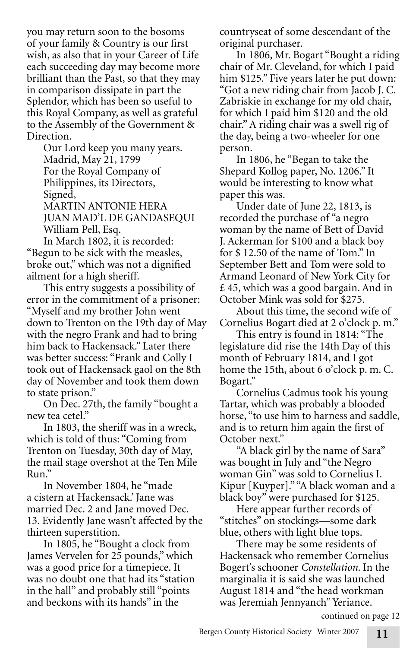you may return soon to the bosoms of your family & Country is our first wish, as also that in your Career of Life each succeeding day may become more brilliant than the Past, so that they may in comparison dissipate in part the Splendor, which has been so useful to this Royal Company, as well as grateful to the Assembly of the Government & Direction.

Our Lord keep you many years. Madrid, May 21, 1799 For the Royal Company of Philippines, its Directors, Signed, MARTIN ANTONIE HERA JUAN MAD'L DE GANDASEQUI William Pell, Esq.

In March 1802, it is recorded: "Begun to be sick with the measles, broke out," which was not a dignified ailment for a high sheriff.

This entry suggests a possibility of error in the commitment of a prisoner: "Myself and my brother John went down to Trenton on the 19th day of May with the negro Frank and had to bring him back to Hackensack." Later there was better success: "Frank and Colly I took out of Hackensack gaol on the 8th day of November and took them down to state prison."

On Dec. 27th, the family "bought a new tea cetel."

In 1803, the sheriff was in a wreck, which is told of thus: "Coming from Trenton on Tuesday, 30th day of May, the mail stage overshot at the Ten Mile Run."

In November 1804, he "made a cistern at Hackensack.' Jane was married Dec. 2 and Jane moved Dec. 13. Evidently Jane wasn't affected by the thirteen superstition.

In 1805, he "Bought a clock from James Vervelen for 25 pounds," which was a good price for a timepiece. It was no doubt one that had its "station in the hall" and probably still "points and beckons with its hands" in the

countryseat of some descendant of the original purchaser.

In 1806, Mr. Bogart "Bought a riding chair of Mr. Cleveland, for which I paid him \$125." Five years later he put down: "Got a new riding chair from Jacob J. C. Zabriskie in exchange for my old chair, for which I paid him \$120 and the old chair." A riding chair was a swell rig of the day, being a two-wheeler for one person.

In 1806, he "Began to take the Shepard Kollog paper, No. 1206." It would be interesting to know what paper this was.

Under date of June 22, 1813, is recorded the purchase of "a negro woman by the name of Bett of David J. Ackerman for \$100 and a black boy for \$ 12.50 of the name of Tom." In September Bett and Tom were sold to Armand Leonard of New York City for £ 45, which was a good bargain. And in October Mink was sold for \$275.

About this time, the second wife of Cornelius Bogart died at 2 o'clock p. m."

This entry is found in 1814: "The legislature did rise the 14th Day of this month of February 1814, and I got home the 15th, about 6 o'clock p. m. C. Bogart."

Cornelius Cadmus took his young Tartar, which was probably a blooded horse, "to use him to harness and saddle, and is to return him again the first of October next."

"A black girl by the name of Sara" was bought in July and "the Negro woman Gin" was sold to Cornelius I. Kipur [Kuyper]." "A black woman and a black boy" were purchased for \$125.

Here appear further records of "stitches" on stockings—some dark blue, others with light blue tops.

There may be some residents of Hackensack who remember Cornelius Bogert's schooner *Constellation.* In the marginalia it is said she was launched August 1814 and "the head workman was Jeremiah Jennyanch" Yeriance.

continued on page 12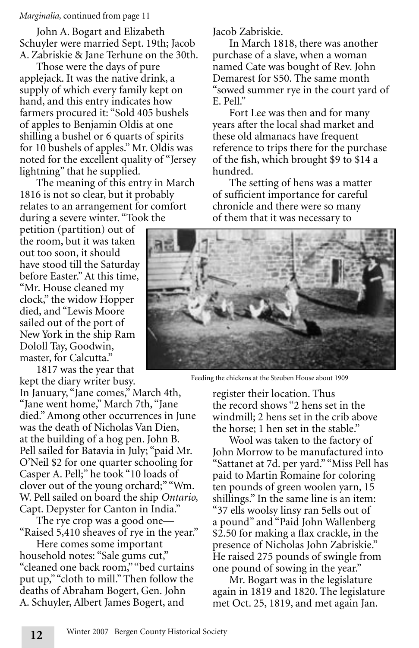#### *Marginalia,* continued from page 11

John A. Bogart and Elizabeth Schuyler were married Sept. 19th; Jacob A. Zabriskie & Jane Terhune on the 30th.

Those were the days of pure applejack. It was the native drink, a supply of which every family kept on hand, and this entry indicates how farmers procured it: "Sold 405 bushels of apples to Benjamin Oldis at one shilling a bushel or 6 quarts of spirits for 10 bushels of apples." Mr. Oldis was noted for the excellent quality of "Jersey lightning" that he supplied.

The meaning of this entry in March 1816 is not so clear, but it probably relates to an arrangement for comfort during a severe winter. "Took the

petition (partition) out of the room, but it was taken out too soon, it should have stood till the Saturday before Easter." At this time, "Mr. House cleaned my clock," the widow Hopper died, and "Lewis Moore sailed out of the port of New York in the ship Ram Dololl Tay, Goodwin, master, for Calcutta."

1817 was the year that kept the diary writer busy.

In January, "Jane comes," March 4th, "Jane went home," March 7th, "Jane died." Among other occurrences in June was the death of Nicholas Van Dien, at the building of a hog pen. John B. Pell sailed for Batavia in July; "paid Mr. O'Neil \$2 for one quarter schooling for Casper A. Pell;" he took "10 loads of clover out of the young orchard;" "Wm. W. Pell sailed on board the ship *Ontario,* Capt. Depyster for Canton in India."

The rye crop was a good one— "Raised 5,410 sheaves of rye in the year."

Here comes some important household notes: "Sale gums cut," "cleaned one back room," "bed curtains put up," "cloth to mill." Then follow the deaths of Abraham Bogert, Gen. John A. Schuyler, Albert James Bogert, and

Jacob Zabriskie.

In March 1818, there was another purchase of a slave, when a woman named Cate was bought of Rev. John Demarest for \$50. The same month "sowed summer rye in the court yard of E. Pell."

Fort Lee was then and for many years after the local shad market and these old almanacs have frequent reference to trips there for the purchase of the fish, which brought \$9 to \$14 a hundred.

The setting of hens was a matter of sufficient importance for careful chronicle and there were so many of them that it was necessary to



Feeding the chickens at the Steuben House about 1909

register their location. Thus the record shows "2 hens set in the windmill; 2 hens set in the crib above the horse; 1 hen set in the stable."

Wool was taken to the factory of John Morrow to be manufactured into "Sattanet at 7d. per yard." "Miss Pell has paid to Martin Romaine for coloring ten pounds of green woolen yarn, 15 shillings." In the same line is an item: "37 ells woolsy linsy ran 5ells out of a pound" and "Paid John Wallenberg \$2.50 for making a flax crackle, in the presence of Nicholas John Zabriskie." He raised 275 pounds of swingle from one pound of sowing in the year."

Mr. Bogart was in the legislature again in 1819 and 1820. The legislature met Oct. 25, 1819, and met again Jan.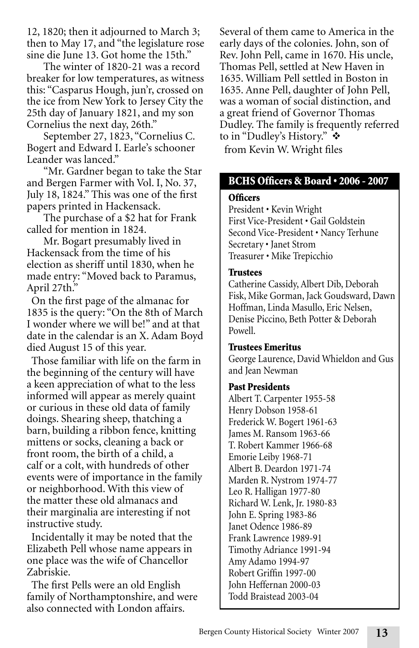12, 1820; then it adjourned to March 3; then to May 17, and "the legislature rose sine die June 13. Got home the 15th."

The winter of 1820-21 was a record breaker for low temperatures, as witness this: "Casparus Hough, jun'r, crossed on the ice from New York to Jersey City the 25th day of January 1821, and my son Cornelius the next day, 26th."

September 27, 1823, "Cornelius C. Bogert and Edward I. Earle's schooner Leander was lanced."

"Mr. Gardner began to take the Star and Bergen Farmer with Vol. I, No. 37, July 18, 1824." This was one of the first papers printed in Hackensack.

The purchase of a \$2 hat for Frank called for mention in 1824.

Mr. Bogart presumably lived in Hackensack from the time of his election as sheriff until 1830, when he made entry: "Moved back to Paramus, April 27th."

On the first page of the almanac for 1835 is the query: "On the 8th of March I wonder where we will be!" and at that date in the calendar is an X. Adam Boyd died August 15 of this year.

Those familiar with life on the farm in the beginning of the century will have a keen appreciation of what to the less informed will appear as merely quaint or curious in these old data of family doings. Shearing sheep, thatching a barn, building a ribbon fence, knitting mittens or socks, cleaning a back or front room, the birth of a child, a calf or a colt, with hundreds of other events were of importance in the family or neighborhood. With this view of the matter these old almanacs and their marginalia are interesting if not instructive study.

Incidentally it may be noted that the Elizabeth Pell whose name appears in one place was the wife of Chancellor Zabriskie.

The first Pells were an old English family of Northamptonshire, and were also connected with London affairs.

Several of them came to America in the early days of the colonies. John, son of Rev. John Pell, came in 1670. His uncle, Thomas Pell, settled at New Haven in 1635. William Pell settled in Boston in 1635. Anne Pell, daughter of John Pell, was a woman of social distinction, and a great friend of Governor Thomas Dudley. The family is frequently referred to in "Dudley's History."  $\cdot \cdot$ 

from Kevin W. Wright files

# BCHS Officers & Board • 2006 - 2007

## **Officers**

President • Kevin Wright First Vice-President • Gail Goldstein Second Vice-President • Nancy Terhune Secretary • Janet Strom Treasurer • Mike Trepicchio

## **Trustees**

Catherine Cassidy, Albert Dib, Deborah Fisk, Mike Gorman, Jack Goudsward, Dawn Hoffman, Linda Masullo, Eric Nelsen, Denise Piccino, Beth Potter & Deborah Powell.

# Trustees Emeritus

George Laurence, David Whieldon and Gus and Jean Newman

# Past Presidents

Albert T. Carpenter 1955-58 Henry Dobson 1958-61 Frederick W. Bogert 1961-63 James M. Ransom 1963-66 T. Robert Kammer 1966-68 Emorie Leiby 1968-71 Albert B. Deardon 1971-74 Marden R. Nystrom 1974-77 Leo R. Halligan 1977-80 Richard W. Lenk, Jr. 1980-83 John E. Spring 1983-86 Janet Odence 1986-89 Frank Lawrence 1989-91 Timothy Adriance 1991-94 Amy Adamo 1994-97 Robert Griffin 1997-00 John Heffernan 2000-03 Todd Braistead 2003-04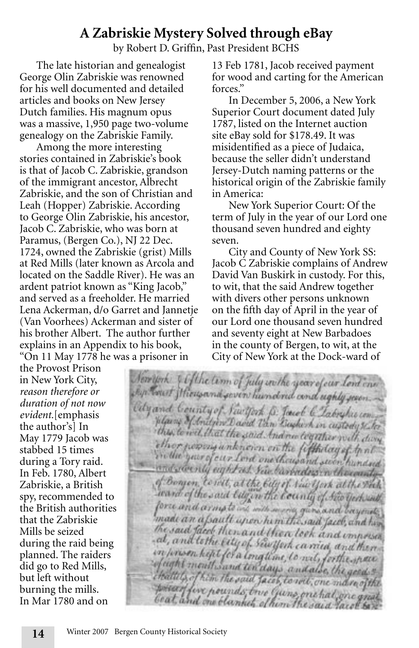# **A Zabriskie Mystery Solved through eBay**

by Robert D. Griffin, Past President BCHS

The late historian and genealogist George Olin Zabriskie was renowned for his well documented and detailed articles and books on New Jersey Dutch families. His magnum opus was a massive, 1,950 page two-volume genealogy on the Zabriskie Family.

Among the more interesting stories contained in Zabriskie's book is that of Jacob C. Zabriskie, grandson of the immigrant ancestor, Albrecht Zabriskie, and the son of Christian and Leah (Hopper) Zabriskie. According to George Olin Zabriskie, his ancestor, Jacob C. Zabriskie, who was born at Paramus, (Bergen Co.), NJ 22 Dec. 1724, owned the Zabriskie (grist) Mills at Red Mills (later known as Arcola and located on the Saddle River). He was an ardent patriot known as "King Jacob," and served as a freeholder. He married Lena Ackerman, d/o Garret and Jannetje (Van Voorhees) Ackerman and sister of his brother Albert. The author further explains in an Appendix to his book, "On 11 May 1778 he was a prisoner in

13 Feb 1781, Jacob received payment for wood and carting for the American forces."

In December 5, 2006, a New York Superior Court document dated July 1787, listed on the Internet auction site eBay sold for \$178.49. It was misidentified as a piece of Judaica, because the seller didn't understand Jersey-Dutch naming patterns or the historical origin of the Zabriskie family in America:

New York Superior Court: Of the term of July in the year of our Lord one thousand seven hundred and eighty seven.

City and County of New York SS: Jacob C Zabriskie complains of Andrew David Van Buskirk in custody. For this, to wit, that the said Andrew together with divers other persons unknown on the fifth day of April in the year of our Lord one thousand seven hundred and seventy eight at New Barbadoes in the county of Bergen, to wit, at the City of New York at the Dock-ward of

May 1779 Jacob was the Provost Prison in New York City, *reason therefore or duration of not now evident.*[emphasis the author's] In stabbed 15 times during a Tory raid. In Feb. 1780, Albert Zabriskie, a British spy, recommended to the British authorities that the Zabriskie Mills be seized during the raid being planned. The raiders did go to Red Mills, but left without burning the mills. In Mar 1780 and on

Newton of the time of July with year of our land can ship tour Mougand seven hundred and ughly seen. City and County of New York B. Josef & Labryhis com Whamp of Anithon David Tan Bushirk in custody & to this, to wil that the soid And no tegather with dong ther powery unknown on the fifth day of the in the year of our lord one thousand seven hundred and stoenly eight as you barbades in thousandy of Borgen, to wit, at the billy of New York at the White ward of the said tily in the bounty of Seconds force and armote with more gun and bayond; made an a frault upon him the said face, and him the said face then and then took and impressed at, and to the city of sewijork carried and them. in prison heft for a longtime, to neit, forthe mere efught mouth sand ten days and also the good . chattely of him the said facet, to will, one manogithe posser few pounds one quins one hal one great beat, and one blanket, of him the said face bar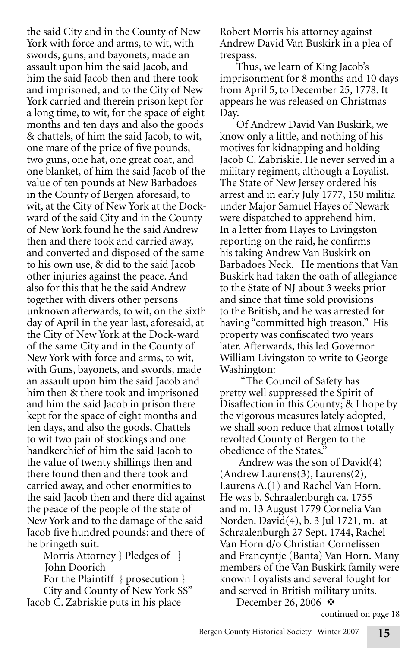the said City and in the County of New York with force and arms, to wit, with swords, guns, and bayonets, made an assault upon him the said Jacob, and him the said Jacob then and there took and imprisoned, and to the City of New York carried and therein prison kept for a long time, to wit, for the space of eight months and ten days and also the goods & chattels, of him the said Jacob, to wit, one mare of the price of five pounds, two guns, one hat, one great coat, and one blanket, of him the said Jacob of the value of ten pounds at New Barbadoes in the County of Bergen aforesaid, to wit, at the City of New York at the Dockward of the said City and in the County of New York found he the said Andrew then and there took and carried away, and converted and disposed of the same to his own use, & did to the said Jacob other injuries against the peace. And also for this that he the said Andrew together with divers other persons unknown afterwards, to wit, on the sixth day of April in the year last, aforesaid, at the City of New York at the Dock-ward of the same City and in the County of New York with force and arms, to wit, with Guns, bayonets, and swords, made an assault upon him the said Jacob and him then & there took and imprisoned and him the said Jacob in prison there kept for the space of eight months and ten days, and also the goods, Chattels to wit two pair of stockings and one handkerchief of him the said Jacob to the value of twenty shillings then and there found then and there took and carried away, and other enormities to the said Jacob then and there did against the peace of the people of the state of New York and to the damage of the said Jacob five hundred pounds: and there of he bringeth suit.

Morris Attorney } Pledges of } John Doorich

For the Plaintiff } prosecution } City and County of New York SS" Jacob C. Zabriskie puts in his place

Robert Morris his attorney against Andrew David Van Buskirk in a plea of trespass.

Thus, we learn of King Jacob's imprisonment for 8 months and 10 days from April 5, to December 25, 1778. It appears he was released on Christmas Day.

Of Andrew David Van Buskirk, we know only a little, and nothing of his motives for kidnapping and holding Jacob C. Zabriskie. He never served in a military regiment, although a Loyalist. The State of New Jersey ordered his arrest and in early July 1777, 150 militia under Major Samuel Hayes of Newark were dispatched to apprehend him. In a letter from Hayes to Livingston reporting on the raid, he confirms his taking Andrew Van Buskirk on Barbadoes Neck. He mentions that Van Buskirk had taken the oath of allegiance to the State of NJ about 3 weeks prior and since that time sold provisions to the British, and he was arrested for having "committed high treason." His property was confiscated two years later. Afterwards, this led Governor William Livingston to write to George Washington:

 "The Council of Safety has pretty well suppressed the Spirit of Disaffection in this County; & I hope by the vigorous measures lately adopted, we shall soon reduce that almost totally revolted County of Bergen to the obedience of the States."

 Andrew was the son of David(4) (Andrew Laurens(3), Laurens(2), Laurens A.(1) and Rachel Van Horn. He was b. Schraalenburgh ca. 1755 and m. 13 August 1779 Cornelia Van Norden. David(4), b. 3 Jul 1721, m. at Schraalenburgh 27 Sept. 1744, Rachel Van Horn d/o Christian Cornelissen and Francyntje (Banta) Van Horn. Many members of the Van Buskirk family were known Loyalists and several fought for and served in British military units. December 26, 2006  $\cdot$ 

continued on page 18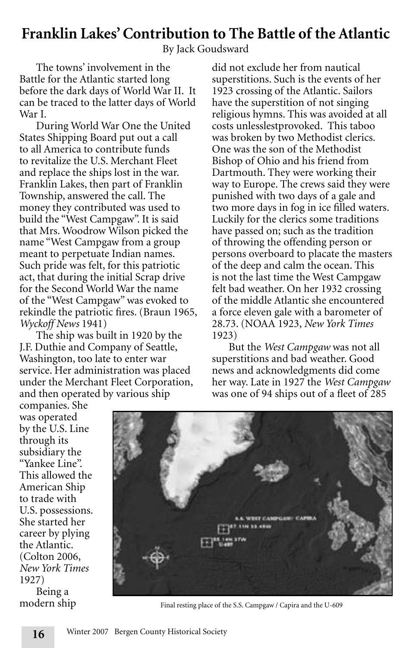# **Franklin Lakes' Contribution to The Battle of the Atlantic**

By Jack Goudsward

The towns' involvement in the Battle for the Atlantic started long before the dark days of World War II. It can be traced to the latter days of World War I.

During World War One the United States Shipping Board put out a call to all America to contribute funds to revitalize the U.S. Merchant Fleet and replace the ships lost in the war. Franklin Lakes, then part of Franklin Township, answered the call. The money they contributed was used to build the "West Campgaw". It is said that Mrs. Woodrow Wilson picked the name "West Campgaw from a group meant to perpetuate Indian names. Such pride was felt, for this patriotic act, that during the initial Scrap drive for the Second World War the name of the "West Campgaw" was evoked to rekindle the patriotic fires. (Braun 1965, *Wyckoff News* 1941)

The ship was built in 1920 by the J.F. Duthie and Company of Seattle, Washington, too late to enter war service. Her administration was placed under the Merchant Fleet Corporation, and then operated by various ship

did not exclude her from nautical superstitions. Such is the events of her 1923 crossing of the Atlantic. Sailors have the superstition of not singing religious hymns. This was avoided at all costs unlesslestprovoked. This taboo was broken by two Methodist clerics. One was the son of the Methodist Bishop of Ohio and his friend from Dartmouth. They were working their way to Europe. The crews said they were punished with two days of a gale and two more days in fog in ice filled waters. Luckily for the clerics some traditions have passed on; such as the tradition of throwing the offending person or persons overboard to placate the masters of the deep and calm the ocean. This is not the last time the West Campgaw felt bad weather. On her 1932 crossing of the middle Atlantic she encountered a force eleven gale with a barometer of 28.73. (NOAA 1923, *New York Times*  1923)

But the *West Campgaw* was not all superstitions and bad weather. Good news and acknowledgments did come her way. Late in 1927 the *West Campgaw* was one of 94 ships out of a fleet of 285

companies. She was operated by the U.S. Line through its subsidiary the "Yankee Line". This allowed the American Ship to trade with U.S. possessions. She started her career by plying the Atlantic. (Colton 2006, *New York Times*  1927)

Being a modern ship



Final resting place of the S.S. Campgaw / Capira and the U-609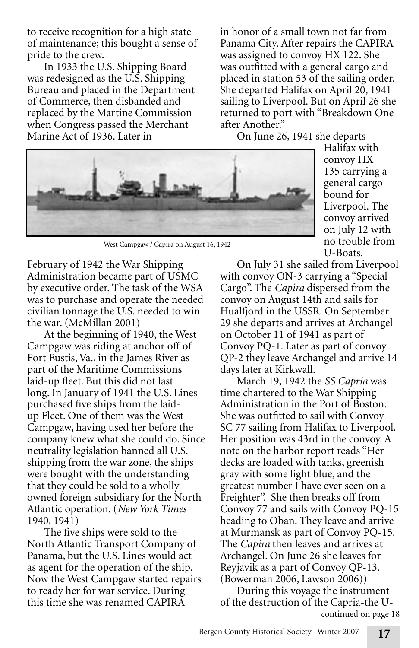to receive recognition for a high state of maintenance; this bought a sense of pride to the crew.

In 1933 the U.S. Shipping Board was redesigned as the U.S. Shipping Bureau and placed in the Department of Commerce, then disbanded and replaced by the Martine Commission when Congress passed the Merchant Marine Act of 1936. Later in

in honor of a small town not far from Panama City. After repairs the CAPIRA was assigned to convoy HX 122. She was outfitted with a general cargo and placed in station 53 of the sailing order. She departed Halifax on April 20, 1941 sailing to Liverpool. But on April 26 she returned to port with "Breakdown One after Another."

On June 26, 1941 she departs



West Campgaw / Capira on August 16, 1942

February of 1942 the War Shipping Administration became part of USMC by executive order. The task of the WSA was to purchase and operate the needed civilian tonnage the U.S. needed to win the war. (McMillan 2001)

At the beginning of 1940, the West Campgaw was riding at anchor off of Fort Eustis, Va., in the James River as part of the Maritime Commissions laid-up fleet. But this did not last long. In January of 1941 the U.S. Lines purchased five ships from the laidup Fleet. One of them was the West Campgaw, having used her before the company knew what she could do. Since neutrality legislation banned all U.S. shipping from the war zone, the ships were bought with the understanding that they could be sold to a wholly owned foreign subsidiary for the North Atlantic operation. (*New York Times*  1940, 1941)

The five ships were sold to the North Atlantic Transport Company of Panama, but the U.S. Lines would act as agent for the operation of the ship. Now the West Campgaw started repairs to ready her for war service. During this time she was renamed CAPIRA

Halifax with convoy HX 135 carrying a general cargo bound for Liverpool. The convoy arrived on July 12 with no trouble from U-Boats.

On July 31 she sailed from Liverpool with convoy ON-3 carrying a "Special Cargo". The *Capira* dispersed from the convoy on August 14th and sails for Hualfjord in the USSR. On September 29 she departs and arrives at Archangel on October 11 of 1941 as part of Convoy PQ-1. Later as part of convoy QP-2 they leave Archangel and arrive 14 days later at Kirkwall.

March 19, 1942 the *SS Capria* was time chartered to the War Shipping Administration in the Port of Boston. She was outfitted to sail with Convoy SC 77 sailing from Halifax to Liverpool. Her position was 43rd in the convoy. A note on the harbor report reads "Her decks are loaded with tanks, greenish gray with some light blue, and the greatest number I have ever seen on a Freighter". She then breaks off from Convoy 77 and sails with Convoy PQ-15 heading to Oban. They leave and arrive at Murmansk as part of Convoy PQ-15. The *Capira* then leaves and arrives at Archangel. On June 26 she leaves for Reyjavik as a part of Convoy QP-13. (Bowerman 2006, Lawson 2006))

During this voyage the instrument of the destruction of the Capria-the Ucontinued on page 18

**<sup>17</sup>**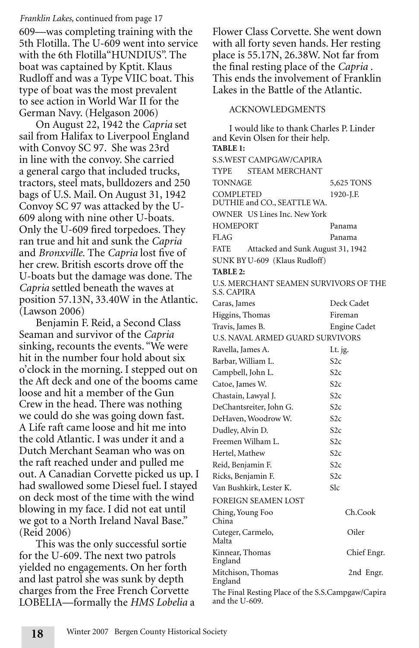#### *Franklin Lakes,* continued from page 17

609—was completing training with the 5th Flotilla. The U-609 went into service with the 6th Flotilla"HUNDIUS". The boat was captained by Kptit. Klaus Rudloff and was a Type VIIC boat. This type of boat was the most prevalent to see action in World War II for the German Navy. (Helgason 2006)

On August 22, 1942 the *Capria* set sail from Halifax to Liverpool England with Convoy SC 97. She was 23rd in line with the convoy. She carried a general cargo that included trucks, tractors, steel mats, bulldozers and 250 bags of U.S. Mail. On August 31, 1942 Convoy SC 97 was attacked by the U-609 along with nine other U-boats. Only the U-609 fired torpedoes. They ran true and hit and sunk the *Capria*  and *Bronxville.* The *Capria* lost five of her crew. British escorts drove off the U-boats but the damage was done. The *Capria* settled beneath the waves at position 57.13N, 33.40W in the Atlantic. (Lawson 2006)

Benjamin F. Reid, a Second Class Seaman and survivor of the *Capria*  sinking, recounts the events. "We were hit in the number four hold about six o'clock in the morning. I stepped out on the Aft deck and one of the booms came loose and hit a member of the Gun Crew in the head. There was nothing we could do she was going down fast. A Life raft came loose and hit me into the cold Atlantic. I was under it and a Dutch Merchant Seaman who was on the raft reached under and pulled me out. A Canadian Corvette picked us up. I had swallowed some Diesel fuel. I stayed on deck most of the time with the wind blowing in my face. I did not eat until we got to a North Ireland Naval Base." (Reid 2006)

This was the only successful sortie for the U-609. The next two patrols yielded no engagements. On her forth and last patrol she was sunk by depth charges from the Free French Corvette LOBELIA—formally the *HMS Lobelia* a Flower Class Corvette. She went down with all forty seven hands. Her resting place is 55.17N, 26.38W. Not far from the final resting place of the *Capria* . This ends the involvement of Franklin Lakes in the Battle of the Atlantic.

#### ACKNOWLEDGMENTS

I would like to thank Charles P. Linder and Kevin Olsen for their help. **TABLE 1:** S.S.WEST CAMPGAW/CAPIRA TYPE STEAM MERCHANT TONNAGE 5,625 TONS COMPLETED 1920-J.F. DUTHIE and CO., SEATTLE WA. OWNER US Lines Inc. New York HOMEPORT Panama FLAG Panama FATE Attacked and Sunk August 31, 1942 SUNK BY U-609 (Klaus Rudloff) **TABLE 2:** U.S. MERCHANT SEAMEN SURVIVORS OF THE S.S. CAPIRA Caras, James Deck Cadet Higgins, Thomas Fireman Travis, James B. Engine Cadet U.S. NAVAL ARMED GUARD SURVIVORS Ravella, James A. Lt. jg. Barbar, William L. S2c Campbell, John L. S2c Catoe, James W. S2c Chastain, Lawyal J. S2c DeChantsreiter, John G. S2c DeHaven, Woodrow W. S2c Dudley, Alvin D. S2c Freemen Wilham L. S2c Hertel, Mathew S2c Reid, Benjamin F. S2c Ricks, Benjamin F. S2c Van Bushkirk, Lester K. Slc FOREIGN SEAMEN LOST Ching, Young Foo Ch.Cook China Cuteger, Carmelo, Oiler Malta Kinnear, Thomas Chief Engr. England Mitchison, Thomas 2nd Engr. England The Final Resting Place of the S.S.Campgaw/Capira and the U-609.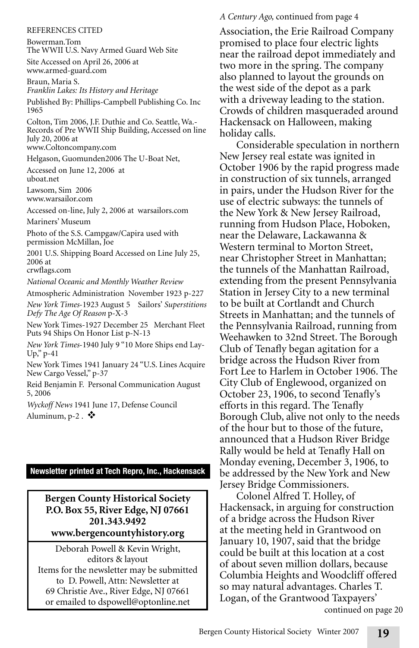#### REFERENCES CITED

Bowerman.Tom The WWII U.S. Navy Armed Guard Web Site Site Accessed on April 26, 2006 at

www.armed-guard.com

Braun, Maria S. *Franklin Lakes: Its History and Heritage*

Published By: Phillips-Campbell Publishing Co. Inc 1965

Colton, Tim 2006, J.F. Duthie and Co. Seattle, Wa.- Records of Pre WWII Ship Building, Accessed on line July 20, 2006 at www.Coltoncompany.com

Helgason, Guomunden2006 The U-Boat Net,

Accessed on June 12, 2006 at uboat.net

Lawsom, Sim 2006 www.warsailor.com

Accessed on-line, July 2, 2006 at warsailors.com

Mariners' Museum

Photo of the S.S. Campgaw/Capira used with permission McMillan, Joe

2001 U.S. Shipping Board Accessed on Line July 25, 2006 at

crwflags.com

*National Oceanic and Monthly Weather Review* 

Atmospheric Administration November 1923 p-227 *New York Times*-1923 August 5 Sailors' *Superstitions Defy The Age Of Reason* p-X-3

New York Times-1927 December 25 Merchant Fleet Puts 94 Ships On Honor List p-N-13

*New York Times*-1940 July 9 "10 More Ships end Lay-Up," p-41

New York Times 1941 January 24 "U.S. Lines Acquire New Cargo Vessel," p-37

Reid Benjamin F. Personal Communication August 5, 2006

*Wyckoff News* 1941 June 17, Defense Council Aluminum,  $p-2$ .  $\clubsuit$ 

#### **Newsletter printed at Tech Repro, Inc., Hackensack**

**Bergen County Historical Society P.O. Box 55, River Edge, NJ 07661 201.343.9492 www.bergencountyhistory.org**

Deborah Powell & Kevin Wright, editors & layout Items for the newsletter may be submitted to D. Powell, Attn: Newsletter at 69 Christie Ave., River Edge, NJ 07661 or emailed to dspowell@optonline.net

#### *A Century Ago,* continued from page 4

Association, the Erie Railroad Company promised to place four electric lights near the railroad depot immediately and two more in the spring. The company also planned to layout the grounds on the west side of the depot as a park with a driveway leading to the station. Crowds of children masqueraded around Hackensack on Halloween, making holiday calls.

Considerable speculation in northern New Jersey real estate was ignited in October 1906 by the rapid progress made in construction of six tunnels, arranged in pairs, under the Hudson River for the use of electric subways: the tunnels of the New York & New Jersey Railroad, running from Hudson Place, Hoboken, near the Delaware, Lackawanna & Western terminal to Morton Street, near Christopher Street in Manhattan; the tunnels of the Manhattan Railroad, extending from the present Pennsylvania Station in Jersey City to a new terminal to be built at Cortlandt and Church Streets in Manhattan; and the tunnels of the Pennsylvania Railroad, running from Weehawken to 32nd Street. The Borough Club of Tenafly began agitation for a bridge across the Hudson River from Fort Lee to Harlem in October 1906. The City Club of Englewood, organized on October 23, 1906, to second Tenafly's efforts in this regard. The Tenafly Borough Club, alive not only to the needs of the hour but to those of the future, announced that a Hudson River Bridge Rally would be held at Tenafly Hall on Monday evening, December 3, 1906, to be addressed by the New York and New Jersey Bridge Commissioners.

Colonel Alfred T. Holley, of Hackensack, in arguing for construction of a bridge across the Hudson River at the meeting held in Grantwood on January 10, 1907, said that the bridge could be built at this location at a cost of about seven million dollars, because Columbia Heights and Woodcliff offered so may natural advantages. Charles T. Logan, of the Grantwood Taxpayers'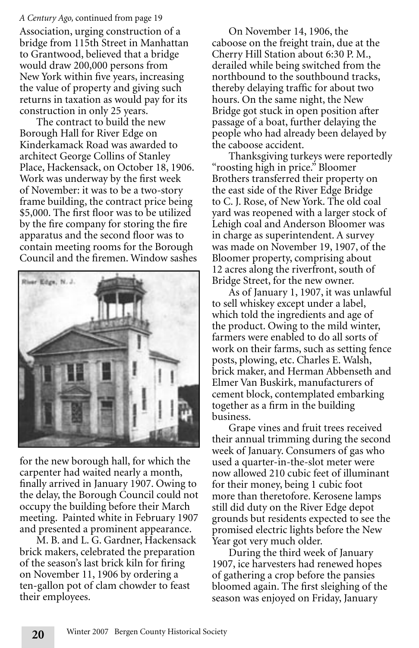#### *A Century Ago,* continued from page 19

Association, urging construction of a bridge from 115th Street in Manhattan to Grantwood, believed that a bridge would draw 200,000 persons from New York within five years, increasing the value of property and giving such returns in taxation as would pay for its construction in only 25 years.

The contract to build the new Borough Hall for River Edge on Kinderkamack Road was awarded to architect George Collins of Stanley Place, Hackensack, on October 18, 1906. Work was underway by the first week of November: it was to be a two-story frame building, the contract price being \$5,000. The first floor was to be utilized by the fire company for storing the fire apparatus and the second floor was to contain meeting rooms for the Borough Council and the firemen. Window sashes



for the new borough hall, for which the carpenter had waited nearly a month, finally arrived in January 1907. Owing to the delay, the Borough Council could not occupy the building before their March meeting. Painted white in February 1907 and presented a prominent appearance.

M. B. and L. G. Gardner, Hackensack brick makers, celebrated the preparation of the season's last brick kiln for firing on November 11, 1906 by ordering a ten-gallon pot of clam chowder to feast their employees.

On November 14, 1906, the caboose on the freight train, due at the Cherry Hill Station about 6:30 P. M., derailed while being switched from the northbound to the southbound tracks, thereby delaying traffic for about two hours. On the same night, the New Bridge got stuck in open position after passage of a boat, further delaying the people who had already been delayed by the caboose accident.

Thanksgiving turkeys were reportedly "roosting high in price." Bloomer Brothers transferred their property on the east side of the River Edge Bridge to C. J. Rose, of New York. The old coal yard was reopened with a larger stock of Lehigh coal and Anderson Bloomer was in charge as superintendent. A survey was made on November 19, 1907, of the Bloomer property, comprising about 12 acres along the riverfront, south of Bridge Street, for the new owner.

As of January 1, 1907, it was unlawful to sell whiskey except under a label, which told the ingredients and age of the product. Owing to the mild winter, farmers were enabled to do all sorts of work on their farms, such as setting fence posts, plowing, etc. Charles E. Walsh, brick maker, and Herman Abbenseth and Elmer Van Buskirk, manufacturers of cement block, contemplated embarking together as a firm in the building business.

Grape vines and fruit trees received their annual trimming during the second week of January. Consumers of gas who used a quarter-in-the-slot meter were now allowed 210 cubic feet of illuminant for their money, being 1 cubic foot more than theretofore. Kerosene lamps still did duty on the River Edge depot grounds but residents expected to see the promised electric lights before the New Year got very much older.

During the third week of January 1907, ice harvesters had renewed hopes of gathering a crop before the pansies bloomed again. The first sleighing of the season was enjoyed on Friday, January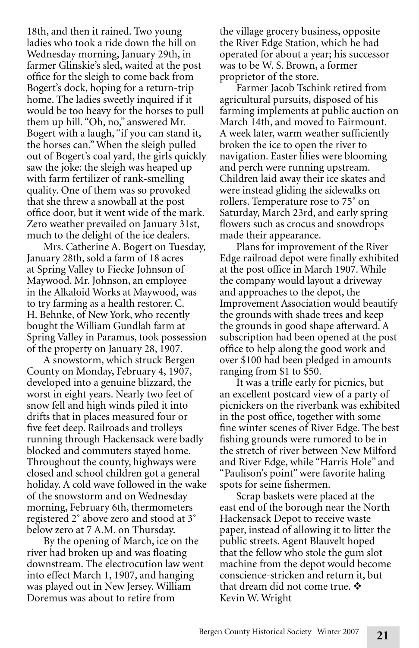18th, and then it rained. Two young ladies who took a ride down the hill on Wednesday morning, January 29th, in farmer Glinskie's sled, waited at the post office for the sleigh to come back from Bogert's dock, hoping for a return-trip home. The ladies sweetly inquired if it would be too heavy for the horses to pull them up hill. "Oh, no," answered Mr. Bogert with a laugh, "if you can stand it, the horses can." When the sleigh pulled out of Bogert's coal yard, the girls quickly saw the joke: the sleigh was heaped up with farm fertilizer of rank-smelling quality. One of them was so provoked that she threw a snowball at the post office door, but it went wide of the mark. Zero weather prevailed on January 31st, much to the delight of the ice dealers.

Mrs. Catherine A. Bogert on Tuesday, January 28th, sold a farm of 18 acres at Spring Valley to Fiecke Johnson of Maywood. Mr. Johnson, an employee in the Alkaloid Works at Maywood, was to try farming as a health restorer. C. H. Behnke, of New York, who recently bought the William Gundlah farm at Spring Valley in Paramus, took possession of the property on January 28, 1907.

A snowstorm, which struck Bergen County on Monday, February 4, 1907, developed into a genuine blizzard, the worst in eight years. Nearly two feet of snow fell and high winds piled it into drifts that in places measured four or five feet deep. Railroads and trolleys running through Hackensack were badly blocked and commuters stayed home. Throughout the county, highways were closed and school children got a general holiday. A cold wave followed in the wake of the snowstorm and on Wednesday morning, February 6th, thermometers registered 2˚ above zero and stood at 3˚ below zero at 7 A.M. on Thursday.

By the opening of March, ice on the river had broken up and was floating downstream. The electrocution law went into effect March 1, 1907, and hanging was played out in New Jersey. William Doremus was about to retire from

the village grocery business, opposite the River Edge Station, which he had operated for about a year; his successor was to be W. S. Brown, a former proprietor of the store.

Farmer Jacob Tschink retired from agricultural pursuits, disposed of his farming implements at public auction on March 14th, and moved to Fairmount. A week later, warm weather sufficiently broken the ice to open the river to navigation. Easter lilies were blooming and perch were running upstream. Children laid away their ice skates and were instead gliding the sidewalks on rollers. Temperature rose to 75˚ on Saturday, March 23rd, and early spring flowers such as crocus and snowdrops made their appearance.

Plans for improvement of the River Edge railroad depot were finally exhibited at the post office in March 1907. While the company would layout a driveway and approaches to the depot, the Improvement Association would beautify the grounds with shade trees and keep the grounds in good shape afterward. A subscription had been opened at the post office to help along the good work and over \$100 had been pledged in amounts ranging from \$1 to \$50.

It was a trifle early for picnics, but an excellent postcard view of a party of picnickers on the riverbank was exhibited in the post office, together with some fine winter scenes of River Edge. The best fishing grounds were rumored to be in the stretch of river between New Milford and River Edge, while "Harris Hole" and "Paulison's point" were favorite haling spots for seine fishermen.

Scrap baskets were placed at the east end of the borough near the North Hackensack Depot to receive waste paper, instead of allowing it to litter the public streets. Agent Blauvelt hoped that the fellow who stole the gum slot machine from the depot would become conscience-stricken and return it, but that dream did not come true.  $\boldsymbol{\cdot}$ Kevin W. Wright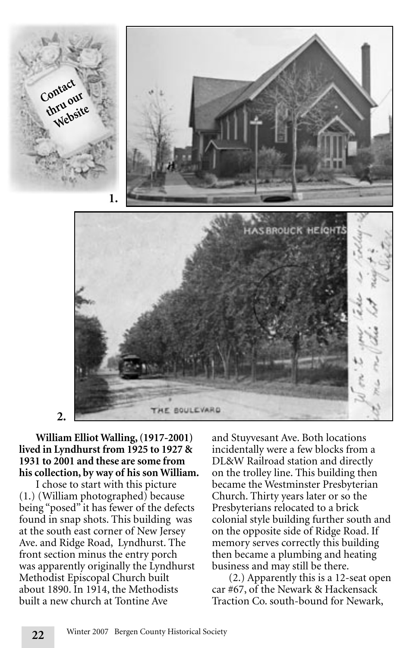

### **William Elliot Walling, (1917-2001) lived in Lyndhurst from 1925 to 1927 & 1931 to 2001 and these are some from his collection, by way of his son William.**

I chose to start with this picture (1.) (William photographed) because being "posed" it has fewer of the defects found in snap shots. This building was at the south east corner of New Jersey Ave. and Ridge Road, Lyndhurst. The front section minus the entry porch was apparently originally the Lyndhurst Methodist Episcopal Church built about 1890. In 1914, the Methodists built a new church at Tontine Ave

**22**

and Stuyvesant Ave. Both locations incidentally were a few blocks from a DL&W Railroad station and directly on the trolley line. This building then became the Westminster Presbyterian Church. Thirty years later or so the Presbyterians relocated to a brick colonial style building further south and on the opposite side of Ridge Road. If memory serves correctly this building then became a plumbing and heating business and may still be there.

(2.) Apparently this is a 12-seat open car #67, of the Newark & Hackensack Traction Co. south-bound for Newark,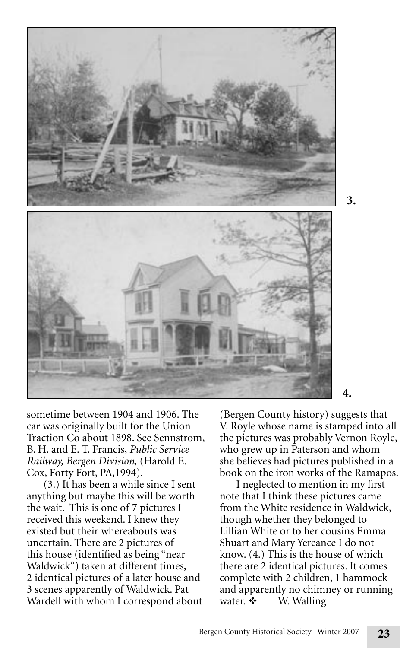

sometime between 1904 and 1906. The car was originally built for the Union Traction Co about 1898. See Sennstrom, B. H. and E. T. Francis, *Public Service Railway, Bergen Division,* (Harold E. Cox, Forty Fort, PA,1994).

(3.) It has been a while since I sent anything but maybe this will be worth the wait. This is one of 7 pictures I received this weekend. I knew they existed but their whereabouts was uncertain. There are 2 pictures of this house (identified as being "near Waldwick") taken at different times, 2 identical pictures of a later house and 3 scenes apparently of Waldwick. Pat Wardell with whom I correspond about (Bergen County history) suggests that V. Royle whose name is stamped into all the pictures was probably Vernon Royle, who grew up in Paterson and whom she believes had pictures published in a book on the iron works of the Ramapos.

**3.**

I neglected to mention in my first note that I think these pictures came from the White residence in Waldwick, though whether they belonged to Lillian White or to her cousins Emma Shuart and Mary Yereance I do not know. (4.) This is the house of which there are 2 identical pictures. It comes complete with 2 children, 1 hammock and apparently no chimney or running water.  $\mathbf{\hat{\cdot}}$  W. Walling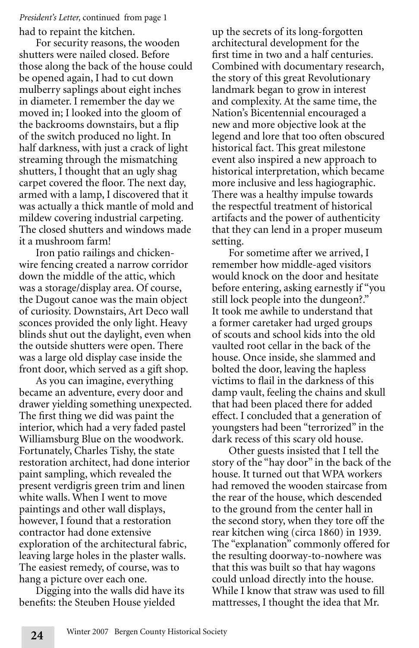#### had to repaint the kitchen. *President's Letter,* continued from page 1

For security reasons, the wooden shutters were nailed closed. Before those along the back of the house could be opened again, I had to cut down mulberry saplings about eight inches in diameter. I remember the day we moved in; I looked into the gloom of the backrooms downstairs, but a flip of the switch produced no light. In half darkness, with just a crack of light streaming through the mismatching shutters, I thought that an ugly shag carpet covered the floor. The next day, armed with a lamp, I discovered that it was actually a thick mantle of mold and mildew covering industrial carpeting. The closed shutters and windows made it a mushroom farm!

Iron patio railings and chickenwire fencing created a narrow corridor down the middle of the attic, which was a storage/display area. Of course, the Dugout canoe was the main object of curiosity. Downstairs, Art Deco wall sconces provided the only light. Heavy blinds shut out the daylight, even when the outside shutters were open. There was a large old display case inside the front door, which served as a gift shop.

As you can imagine, everything became an adventure, every door and drawer yielding something unexpected. The first thing we did was paint the interior, which had a very faded pastel Williamsburg Blue on the woodwork. Fortunately, Charles Tishy, the state restoration architect, had done interior paint sampling, which revealed the present verdigris green trim and linen white walls. When I went to move paintings and other wall displays, however, I found that a restoration contractor had done extensive exploration of the architectural fabric, leaving large holes in the plaster walls. The easiest remedy, of course, was to hang a picture over each one.

Digging into the walls did have its benefits: the Steuben House yielded

**24**

up the secrets of its long-forgotten architectural development for the first time in two and a half centuries. Combined with documentary research, the story of this great Revolutionary landmark began to grow in interest and complexity. At the same time, the Nation's Bicentennial encouraged a new and more objective look at the legend and lore that too often obscured historical fact. This great milestone event also inspired a new approach to historical interpretation, which became more inclusive and less hagiographic. There was a healthy impulse towards the respectful treatment of historical artifacts and the power of authenticity that they can lend in a proper museum setting.

For sometime after we arrived, I remember how middle-aged visitors would knock on the door and hesitate before entering, asking earnestly if "you still lock people into the dungeon?." It took me awhile to understand that a former caretaker had urged groups of scouts and school kids into the old vaulted root cellar in the back of the house. Once inside, she slammed and bolted the door, leaving the hapless victims to flail in the darkness of this damp vault, feeling the chains and skull that had been placed there for added effect. I concluded that a generation of youngsters had been "terrorized" in the dark recess of this scary old house.

Other guests insisted that I tell the story of the "hay door" in the back of the house. It turned out that WPA workers had removed the wooden staircase from the rear of the house, which descended to the ground from the center hall in the second story, when they tore off the rear kitchen wing (circa 1860) in 1939. The "explanation" commonly offered for the resulting doorway-to-nowhere was that this was built so that hay wagons could unload directly into the house. While I know that straw was used to fill mattresses, I thought the idea that Mr.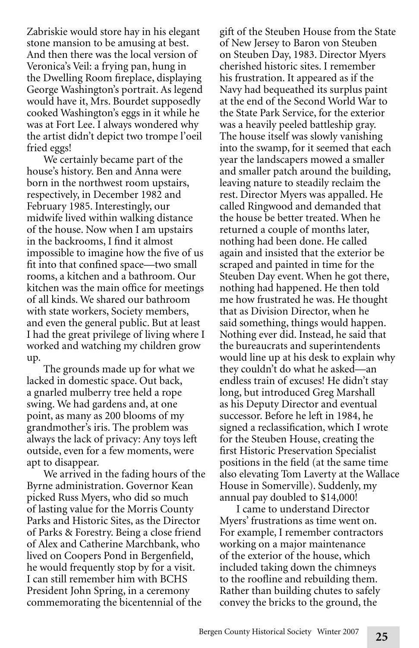Zabriskie would store hay in his elegant stone mansion to be amusing at best. And then there was the local version of Veronica's Veil: a frying pan, hung in the Dwelling Room fireplace, displaying George Washington's portrait. As legend would have it, Mrs. Bourdet supposedly cooked Washington's eggs in it while he was at Fort Lee. I always wondered why the artist didn't depict two trompe l'oeil fried eggs!

We certainly became part of the house's history. Ben and Anna were born in the northwest room upstairs, respectively, in December 1982 and February 1985. Interestingly, our midwife lived within walking distance of the house. Now when I am upstairs in the backrooms, I find it almost impossible to imagine how the five of us fit into that confined space—two small rooms, a kitchen and a bathroom. Our kitchen was the main office for meetings of all kinds. We shared our bathroom with state workers, Society members, and even the general public. But at least I had the great privilege of living where I worked and watching my children grow up.

The grounds made up for what we lacked in domestic space. Out back, a gnarled mulberry tree held a rope swing. We had gardens and, at one point, as many as 200 blooms of my grandmother's iris. The problem was always the lack of privacy: Any toys left outside, even for a few moments, were apt to disappear.

We arrived in the fading hours of the Byrne administration. Governor Kean picked Russ Myers, who did so much of lasting value for the Morris County Parks and Historic Sites, as the Director of Parks & Forestry. Being a close friend of Alex and Catherine Marchbank, who lived on Coopers Pond in Bergenfield, he would frequently stop by for a visit. I can still remember him with BCHS President John Spring, in a ceremony commemorating the bicentennial of the

gift of the Steuben House from the State of New Jersey to Baron von Steuben on Steuben Day, 1983. Director Myers cherished historic sites. I remember his frustration. It appeared as if the Navy had bequeathed its surplus paint at the end of the Second World War to the State Park Service, for the exterior was a heavily peeled battleship gray. The house itself was slowly vanishing into the swamp, for it seemed that each year the landscapers mowed a smaller and smaller patch around the building, leaving nature to steadily reclaim the rest. Director Myers was appalled. He called Ringwood and demanded that the house be better treated. When he returned a couple of months later, nothing had been done. He called again and insisted that the exterior be scraped and painted in time for the Steuben Day event. When he got there, nothing had happened. He then told me how frustrated he was. He thought that as Division Director, when he said something, things would happen. Nothing ever did. Instead, he said that the bureaucrats and superintendents would line up at his desk to explain why they couldn't do what he asked—an endless train of excuses! He didn't stay long, but introduced Greg Marshall as his Deputy Director and eventual successor. Before he left in 1984, he signed a reclassification, which I wrote for the Steuben House, creating the first Historic Preservation Specialist positions in the field (at the same time also elevating Tom Laverty at the Wallace House in Somerville). Suddenly, my annual pay doubled to \$14,000!

I came to understand Director Myers' frustrations as time went on. For example, I remember contractors working on a major maintenance of the exterior of the house, which included taking down the chimneys to the roofline and rebuilding them. Rather than building chutes to safely convey the bricks to the ground, the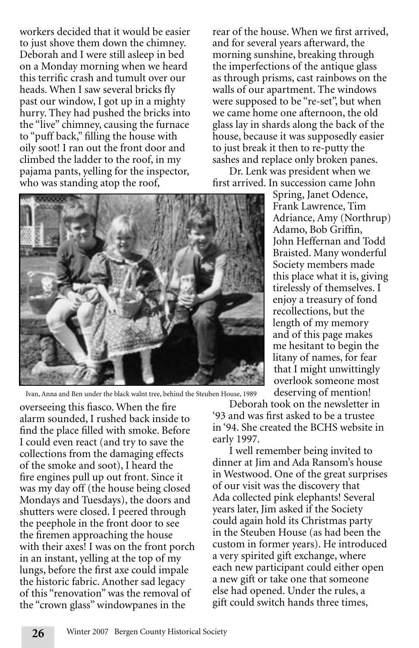workers decided that it would be easier to just shove them down the chimney. Deborah and I were still asleep in bed on a Monday morning when we heard this terrific crash and tumult over our heads. When I saw several bricks fly past our window, I got up in a mighty hurry. They had pushed the bricks into the "live" chimney, causing the furnace to "puff back," filling the house with oily soot! I ran out the front door and climbed the ladder to the roof, in my pajama pants, yelling for the inspector, who was standing atop the roof,

rear of the house. When we first arrived, and for several years afterward, the morning sunshine, breaking through the imperfections of the antique glass as through prisms, cast rainbows on the walls of our apartment. The windows were supposed to be "re-set", but when we came home one afternoon, the old glass lay in shards along the back of the house, because it was supposedly easier to just break it then to re-putty the sashes and replace only broken panes.

Dr. Lenk was president when we first arrived. In succession came John



Ivan, Anna and Ben under the black walnt tree, behind the Steuben House, 1989

overseeing this fiasco. When the fire alarm sounded, I rushed back inside to find the place filled with smoke. Before I could even react (and try to save the collections from the damaging effects of the smoke and soot), I heard the fire engines pull up out front. Since it was my day off (the house being closed Mondays and Tuesdays), the doors and shutters were closed. I peered through the peephole in the front door to see the firemen approaching the house with their axes! I was on the front porch in an instant, yelling at the top of my lungs, before the first axe could impale the historic fabric. Another sad legacy of this "renovation" was the removal of the "crown glass" windowpanes in the

**26**

Deborah took on the newsletter in '93 and was first asked to be a trustee in '94. She created the BCHS website in early 1997.

I well remember being invited to dinner at Jim and Ada Ransom's house in Westwood. One of the great surprises of our visit was the discovery that Ada collected pink elephants! Several years later, Jim asked if the Society could again hold its Christmas party in the Steuben House (as had been the custom in former years). He introduced a very spirited gift exchange, where each new participant could either open a new gift or take one that someone else had opened. Under the rules, a gift could switch hands three times,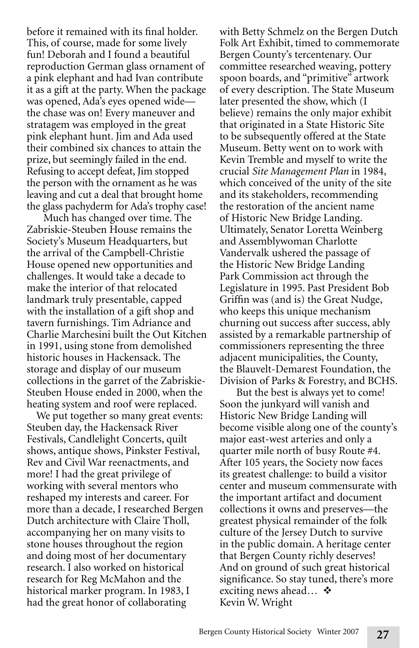before it remained with its final holder. This, of course, made for some lively fun! Deborah and I found a beautiful reproduction German glass ornament of a pink elephant and had Ivan contribute it as a gift at the party. When the package was opened, Ada's eyes opened wide the chase was on! Every maneuver and stratagem was employed in the great pink elephant hunt. Jim and Ada used their combined six chances to attain the prize, but seemingly failed in the end. Refusing to accept defeat, Jim stopped the person with the ornament as he was leaving and cut a deal that brought home the glass pachyderm for Ada's trophy case!

Much has changed over time. The Zabriskie-Steuben House remains the Society's Museum Headquarters, but the arrival of the Campbell-Christie House opened new opportunities and challenges. It would take a decade to make the interior of that relocated landmark truly presentable, capped with the installation of a gift shop and tavern furnishings. Tim Adriance and Charlie Marchesini built the Out Kitchen in 1991, using stone from demolished historic houses in Hackensack. The storage and display of our museum collections in the garret of the Zabriskie-Steuben House ended in 2000, when the heating system and roof were replaced.

We put together so many great events: Steuben day, the Hackensack River Festivals, Candlelight Concerts, quilt shows, antique shows, Pinkster Festival, Rev and Civil War reenactments, and more! I had the great privilege of working with several mentors who reshaped my interests and career. For more than a decade, I researched Bergen Dutch architecture with Claire Tholl, accompanying her on many visits to stone houses throughout the region and doing most of her documentary research. I also worked on historical research for Reg McMahon and the historical marker program. In 1983, I had the great honor of collaborating

with Betty Schmelz on the Bergen Dutch Folk Art Exhibit, timed to commemorate Bergen County's tercentenary. Our committee researched weaving, pottery spoon boards, and "primitive" artwork of every description. The State Museum later presented the show, which (I believe) remains the only major exhibit that originated in a State Historic Site to be subsequently offered at the State Museum. Betty went on to work with Kevin Tremble and myself to write the crucial *Site Management Plan* in 1984, which conceived of the unity of the site and its stakeholders, recommending the restoration of the ancient name of Historic New Bridge Landing. Ultimately, Senator Loretta Weinberg and Assemblywoman Charlotte Vandervalk ushered the passage of the Historic New Bridge Landing Park Commission act through the Legislature in 1995. Past President Bob Griffin was (and is) the Great Nudge, who keeps this unique mechanism churning out success after success, ably assisted by a remarkable partnership of commissioners representing the three adjacent municipalities, the County, the Blauvelt-Demarest Foundation, the Division of Parks & Forestry, and BCHS.

But the best is always yet to come! Soon the junkyard will vanish and Historic New Bridge Landing will become visible along one of the county's major east-west arteries and only a quarter mile north of busy Route #4. After 105 years, the Society now faces its greatest challenge: to build a visitor center and museum commensurate with the important artifact and document collections it owns and preserves—the greatest physical remainder of the folk culture of the Jersey Dutch to survive in the public domain. A heritage center that Bergen County richly deserves! And on ground of such great historical significance. So stay tuned, there's more exciting news ahead...  $\cdot$ Kevin W. Wright